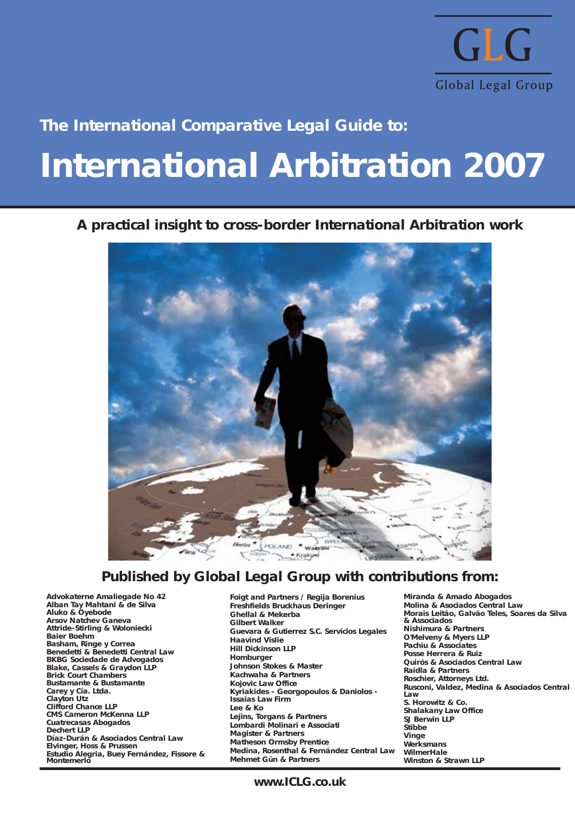

# **The International Comparative Legal Guide to:**

# **International Arbitration 2007**

# **A practical insight to cross-border International Arbitration work**



# **Published by Global Legal Group with contributions from:**

**Advokaterne Amaliegade No 42 Alban Tay Mahtani & de Silva Aluko & Oyebode Arsov Natchev Ganeva Attride-Stirling & Woloniecki Baier Boehm Basham, Ringe y Correa Benedetti & Benedetti Central Law BKBG Sociedade de Advogados Blake, Cassels & Graydon LLP Brick Court Chambers Bustamante & Bustamante Carey y Cía. Ltda. Clayton Utz Clifford Chance LLP CMS Cameron McKenna LLP Cuatrecasas Abogados Dechert LLP Díaz-Durán & Asociados Central Law Elvinger, Hoss & Prussen Estudio Alegria, Buey Fernández, Fissore & Montemerlo**

**Foigt and Partners / Regija Borenius Freshfields Bruckhaus Deringer Ghellal & Mekerba Gilbert Walker Guevara & Gutierrez S.C. Servicios Legales Haavind Vislie Hill Dickinson LLP Homburger Johnson Stokes & Master Kachwaha & Partners Kojovic Law Office Kyriakides - Georgopoulos & Daniolos - Issaias Law Firm Lee & Ko Lejins, Torgans & Partners Lombardi Molinari e Associati Magister & Partners Matheson Ormsby Prentice Medina, Rosenthal & Fernández Central Law Mehmet Gün & Partners**

**Miranda & Amado Abogados Molina & Asociados Central Law Morais Leitão, Galvão Teles, Soares da Silva & Associados Nishimura & Partners O'Melveny & Myers LLP Pachiu & Associates Posse Herrera & Ruiz Quirós & Asociados Central Law Raidla & Partners Roschier, Attorneys Ltd. Rusconi, Valdez, Medina & Asociados Central Law S. Horowitz & Co. Shalakany Law Office SJ Berwin LLP Stibbe Vinge Werksmans WilmerHale Winston & Strawn LLP**

**www.ICLG.co.uk**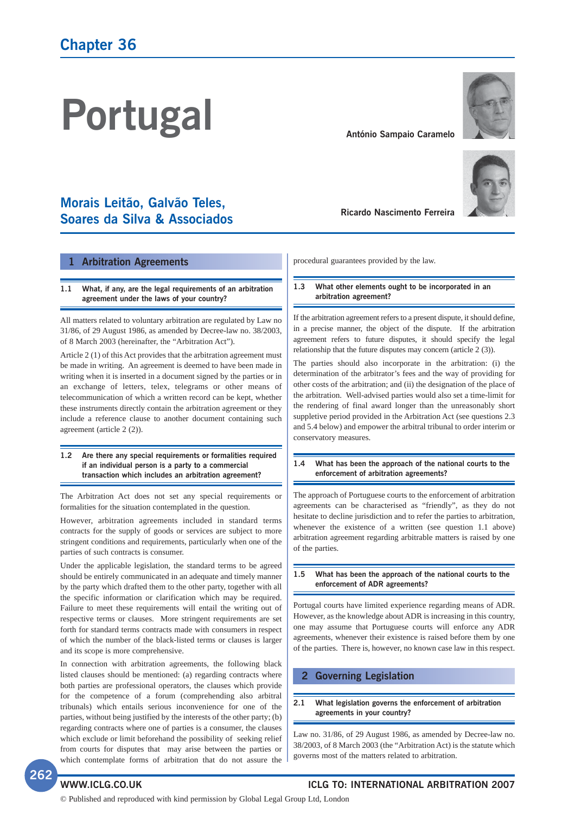# **Portugal**

# **Morais Leitão, Galvão Teles, Soares da Silva & Associados**

#### **1 Arbitration Agreements**

#### **1.1 What, if any, are the legal requirements of an arbitration agreement under the laws of your country?**

All matters related to voluntary arbitration are regulated by Law no 31/86, of 29 August 1986, as amended by Decree-law no. 38/2003, of 8 March 2003 (hereinafter, the "Arbitration Act").

Article 2 (1) of this Act provides that the arbitration agreement must be made in writing. An agreement is deemed to have been made in writing when it is inserted in a document signed by the parties or in an exchange of letters, telex, telegrams or other means of telecommunication of which a written record can be kept, whether these instruments directly contain the arbitration agreement or they include a reference clause to another document containing such agreement (article 2 (2)).

#### **1.2 Are there any special requirements or formalities required if an individual person is a party to a commercial transaction which includes an arbitration agreement?**

The Arbitration Act does not set any special requirements or formalities for the situation contemplated in the question.

However, arbitration agreements included in standard terms contracts for the supply of goods or services are subject to more stringent conditions and requirements, particularly when one of the parties of such contracts is consumer.

Under the applicable legislation, the standard terms to be agreed should be entirely communicated in an adequate and timely manner by the party which drafted them to the other party, together with all the specific information or clarification which may be required. Failure to meet these requirements will entail the writing out of respective terms or clauses. More stringent requirements are set forth for standard terms contracts made with consumers in respect of which the number of the black-listed terms or clauses is larger and its scope is more comprehensive.

In connection with arbitration agreements, the following black listed clauses should be mentioned: (a) regarding contracts where both parties are professional operators, the clauses which provide for the competence of a forum (comprehending also arbitral tribunals) which entails serious inconvenience for one of the parties, without being justified by the interests of the other party; (b) regarding contracts where one of parties is a consumer, the clauses which exclude or limit beforehand the possibility of seeking relief from courts for disputes that may arise between the parties or which contemplate forms of arbitration that do not assure the



**António Sampaio Caramelo**

procedural guarantees provided by the law.

#### **1.3 What other elements ought to be incorporated in an arbitration agreement?**

If the arbitration agreement refers to a present dispute, it should define, in a precise manner, the object of the dispute. If the arbitration agreement refers to future disputes, it should specify the legal relationship that the future disputes may concern (article 2 (3)).

The parties should also incorporate in the arbitration: (i) the determination of the arbitrator's fees and the way of providing for other costs of the arbitration; and (ii) the designation of the place of the arbitration. Well-advised parties would also set a time-limit for the rendering of final award longer than the unreasonably short suppletive period provided in the Arbitration Act (see questions 2.3 and 5.4 below) and empower the arbitral tribunal to order interim or conservatory measures.

#### **1.4 What has been the approach of the national courts to the enforcement of arbitration agreements?**

The approach of Portuguese courts to the enforcement of arbitration agreements can be characterised as "friendly", as they do not hesitate to decline jurisdiction and to refer the parties to arbitration, whenever the existence of a written (see question 1.1 above) arbitration agreement regarding arbitrable matters is raised by one of the parties.

#### **1.5 What has been the approach of the national courts to the enforcement of ADR agreements?**

Portugal courts have limited experience regarding means of ADR. However, as the knowledge about ADR is increasing in this country, one may assume that Portuguese courts will enforce any ADR agreements, whenever their existence is raised before them by one of the parties. There is, however, no known case law in this respect.

### **2 Governing Legislation**

#### **2.1 What legislation governs the enforcement of arbitration agreements in your country?**

Law no. 31/86, of 29 August 1986, as amended by Decree-law no. 38/2003, of 8 March 2003 (the "Arbitration Act) is the statute which governs most of the matters related to arbitration.



# **WWW.ICLG.CO.UK ICLG TO: INTERNATIONAL ARBITRATION 2007**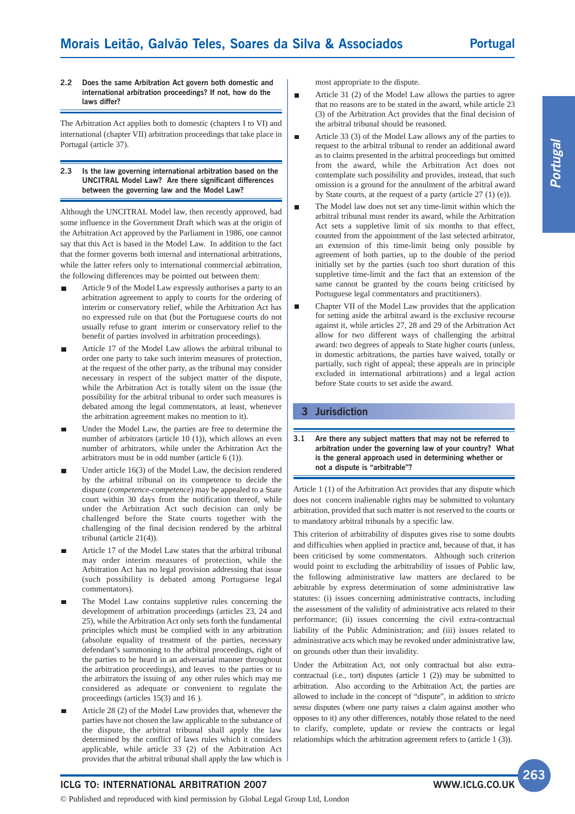#### **2.2 Does the same Arbitration Act govern both domestic and international arbitration proceedings? If not, how do the laws differ?**

The Arbitration Act applies both to domestic (chapters I to VI) and international (chapter VII) arbitration proceedings that take place in Portugal (article 37).

#### **2.3 Is the law governing international arbitration based on the UNCITRAL Model Law? Are there significant differences between the governing law and the Model Law?**

Although the UNCITRAL Model law, then recently approved, had some influence in the Government Draft which was at the origin of the Arbitration Act approved by the Parliament in 1986, one cannot say that this Act is based in the Model Law. In addition to the fact that the former governs both internal and international arbitrations, while the latter refers only to international commercial arbitration, the following differences may be pointed out between them:

- Article 9 of the Model Law expressly authorises a party to an arbitration agreement to apply to courts for the ordering of interim or conservatory relief, while the Arbitration Act has no expressed rule on that (but the Portuguese courts do not usually refuse to grant interim or conservatory relief to the benefit of parties involved in arbitration proceedings).
- Article 17 of the Model Law allows the arbitral tribunal to order one party to take such interim measures of protection, at the request of the other party, as the tribunal may consider necessary in respect of the subject matter of the dispute, while the Arbitration Act is totally silent on the issue (the possibility for the arbitral tribunal to order such measures is debated among the legal commentators, at least, whenever the arbitration agreement makes no mention to it).
- Under the Model Law, the parties are free to determine the number of arbitrators (article 10 (1)), which allows an even number of arbitrators, while under the Arbitration Act the arbitrators must be in odd number (article 6 (1)).
- Under article 16(3) of the Model Law, the decision rendered by the arbitral tribunal on its competence to decide the dispute (*competence-competence*) may be appealed to a State court within 30 days from the notification thereof, while under the Arbitration Act such decision can only be challenged before the State courts together with the challenging of the final decision rendered by the arbitral tribunal (article 21(4)).
- Article 17 of the Model Law states that the arbitral tribunal may order interim measures of protection, while the Arbitration Act has no legal provision addressing that issue (such possibility is debated among Portuguese legal commentators).
- The Model Law contains suppletive rules concerning the development of arbitration proceedings (articles 23, 24 and 25), while the Arbitration Act only sets forth the fundamental principles which must be complied with in any arbitration (absolute equality of treatment of the parties, necessary defendant's summoning to the arbitral proceedings, right of the parties to be heard in an adversarial manner throughout the arbitration proceedings), and leaves to the parties or to the arbitrators the issuing of any other rules which may me considered as adequate or convenient to regulate the proceedings (articles 15(3) and 16 ).
- Article 28 (2) of the Model Law provides that, whenever the parties have not chosen the law applicable to the substance of the dispute, the arbitral tribunal shall apply the law determined by the conflict of laws rules which it considers applicable, while article 33 (2) of the Arbitration Act provides that the arbitral tribunal shall apply the law which is

most appropriate to the dispute.

 $\blacksquare$ 

- Article 31 (2) of the Model Law allows the parties to agree that no reasons are to be stated in the award, while article 23 (3) of the Arbitration Act provides that the final decision of the arbitral tribunal should be reasoned.
- Article 33 (3) of the Model Law allows any of the parties to  $\blacksquare$ request to the arbitral tribunal to render an additional award as to claims presented in the arbitral proceedings but omitted from the award, while the Arbitration Act does not contemplate such possibility and provides, instead, that such omission is a ground for the annulment of the arbitral award by State courts, at the request of a party (article 27 (1) (e)).
- The Model law does not set any time-limit within which the П arbitral tribunal must render its award, while the Arbitration Act sets a suppletive limit of six months to that effect, counted from the appointment of the last selected arbitrator, an extension of this time-limit being only possible by agreement of both parties, up to the double of the period initially set by the parties (such too short duration of this suppletive time-limit and the fact that an extension of the same cannot be granted by the courts being criticised by Portuguese legal commentators and practitioners).
- Chapter VII of the Model Law provides that the application for setting aside the arbitral award is the exclusive recourse against it, while articles 27, 28 and 29 of the Arbitration Act allow for two different ways of challenging the arbitral award: two degrees of appeals to State higher courts (unless, in domestic arbitrations, the parties have waived, totally or partially, such right of appeal; these appeals are in principle excluded in international arbitrations) and a legal action before State courts to set aside the award.

### **3 Jurisdiction**

**3.1 Are there any subject matters that may not be referred to arbitration under the governing law of your country? What is the general approach used in determining whether or not a dispute is "arbitrable"?**

Article 1 (1) of the Arbitration Act provides that any dispute which does not concern inalienable rights may be submitted to voluntary arbitration, provided that such matter is not reserved to the courts or to mandatory arbitral tribunals by a specific law.

This criterion of arbitrability of disputes gives rise to some doubts and difficulties when applied in practice and, because of that, it has been criticised by some commentators. Although such criterion would point to excluding the arbitrability of issues of Public law, the following administrative law matters are declared to be arbitrable by express determination of some administrative law statutes: (i) issues concerning administrative contracts, including the assessment of the validity of administrative acts related to their performance; (ii) issues concerning the civil extra-contractual liability of the Public Administration; and (iii) issues related to administrative acts which may be revoked under administrative law, on grounds other than their invalidity.

Under the Arbitration Act, not only contractual but also extracontractual (i.e., tort) disputes (article 1 (2)) may be submitted to arbitration. Also according to the Arbitration Act, the parties are allowed to include in the concept of "dispute", in addition to *stricto sensu* disputes (where one party raises a claim against another who opposes to it) any other differences, notably those related to the need to clarify, complete, update or review the contracts or legal relationships which the arbitration agreement refers to (article 1 (3)).

**ICLG TO: INTERNATIONAL ARBITRATION 2007**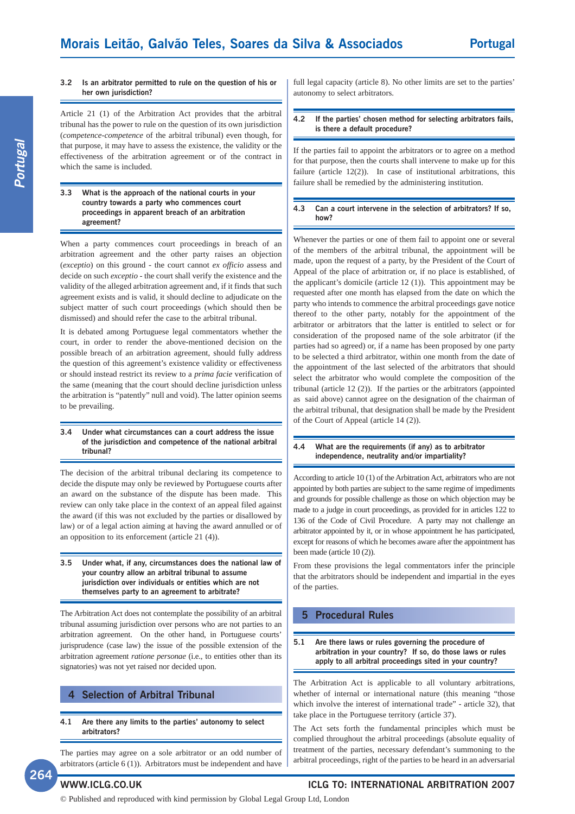#### **3.2 Is an arbitrator permitted to rule on the question of his or her own jurisdiction?**

Article 21 (1) of the Arbitration Act provides that the arbitral tribunal has the power to rule on the question of its own jurisdiction (*competence-competence* of the arbitral tribunal) even though, for that purpose, it may have to assess the existence, the validity or the effectiveness of the arbitration agreement or of the contract in which the same is included.

#### **3.3 What is the approach of the national courts in your country towards a party who commences court proceedings in apparent breach of an arbitration agreement?**

When a party commences court proceedings in breach of an arbitration agreement and the other party raises an objection (*exceptio*) on this ground - the court cannot *ex officio* assess and decide on such *exceptio* - the court shall verify the existence and the validity of the alleged arbitration agreement and, if it finds that such agreement exists and is valid, it should decline to adjudicate on the subject matter of such court proceedings (which should then be dismissed) and should refer the case to the arbitral tribunal.

It is debated among Portuguese legal commentators whether the court, in order to render the above-mentioned decision on the possible breach of an arbitration agreement, should fully address the question of this agreement's existence validity or effectiveness or should instead restrict its review to a *prima facie* verification of the same (meaning that the court should decline jurisdiction unless the arbitration is "patently" null and void). The latter opinion seems to be prevailing.

#### **3.4 Under what circumstances can a court address the issue of the jurisdiction and competence of the national arbitral tribunal?**

The decision of the arbitral tribunal declaring its competence to decide the dispute may only be reviewed by Portuguese courts after an award on the substance of the dispute has been made. This review can only take place in the context of an appeal filed against the award (if this was not excluded by the parties or disallowed by law) or of a legal action aiming at having the award annulled or of an opposition to its enforcement (article 21 (4)).

#### **3.5 Under what, if any, circumstances does the national law of your country allow an arbitral tribunal to assume jurisdiction over individuals or entities which are not themselves party to an agreement to arbitrate?**

The Arbitration Act does not contemplate the possibility of an arbitral tribunal assuming jurisdiction over persons who are not parties to an arbitration agreement. On the other hand, in Portuguese courts' jurisprudence (case law) the issue of the possible extension of the arbitration agreement *ratione personae* (i.e., to entities other than its signatories) was not yet raised nor decided upon.

### **4 Selection of Arbitral Tribunal**

#### **4.1 Are there any limits to the parties' autonomy to select arbitrators?**

The parties may agree on a sole arbitrator or an odd number of arbitrators (article 6 (1)). Arbitrators must be independent and have

full legal capacity (article 8). No other limits are set to the parties' autonomy to select arbitrators.

#### **4.2 If the parties' chosen method for selecting arbitrators fails, is there a default procedure?**

If the parties fail to appoint the arbitrators or to agree on a method for that purpose, then the courts shall intervene to make up for this failure (article 12(2)). In case of institutional arbitrations, this failure shall be remedied by the administering institution.

#### **4.3 Can a court intervene in the selection of arbitrators? If so, how?**

Whenever the parties or one of them fail to appoint one or several of the members of the arbitral tribunal, the appointment will be made, upon the request of a party, by the President of the Court of Appeal of the place of arbitration or, if no place is established, of the applicant's domicile (article 12 (1)). This appointment may be requested after one month has elapsed from the date on which the party who intends to commence the arbitral proceedings gave notice thereof to the other party, notably for the appointment of the arbitrator or arbitrators that the latter is entitled to select or for consideration of the proposed name of the sole arbitrator (if the parties had so agreed) or, if a name has been proposed by one party to be selected a third arbitrator, within one month from the date of the appointment of the last selected of the arbitrators that should select the arbitrator who would complete the composition of the tribunal (article 12 (2)). If the parties or the arbitrators (appointed as said above) cannot agree on the designation of the chairman of the arbitral tribunal, that designation shall be made by the President of the Court of Appeal (article 14 (2)).

#### **4.4 What are the requirements (if any) as to arbitrator independence, neutrality and/or impartiality?**

According to article 10 (1) of the Arbitration Act, arbitrators who are not appointed by both parties are subject to the same regime of impediments and grounds for possible challenge as those on which objection may be made to a judge in court proceedings, as provided for in articles 122 to 136 of the Code of Civil Procedure. A party may not challenge an arbitrator appointed by it, or in whose appointment he has participated, except for reasons of which he becomes aware after the appointment has been made (article 10 (2)).

From these provisions the legal commentators infer the principle that the arbitrators should be independent and impartial in the eyes of the parties.

### **5 Procedural Rules**

#### **5.1 Are there laws or rules governing the procedure of arbitration in your country? If so, do those laws or rules apply to all arbitral proceedings sited in your country?**

The Arbitration Act is applicable to all voluntary arbitrations, whether of internal or international nature (this meaning "those which involve the interest of international trade" - article 32), that take place in the Portuguese territory (article 37).

The Act sets forth the fundamental principles which must be complied throughout the arbitral proceedings (absolute equality of treatment of the parties, necessary defendant's summoning to the arbitral proceedings, right of the parties to be heard in an adversarial

**264**

# **WWW.ICLG.CO.UK ICLG TO: INTERNATIONAL ARBITRATION 2007**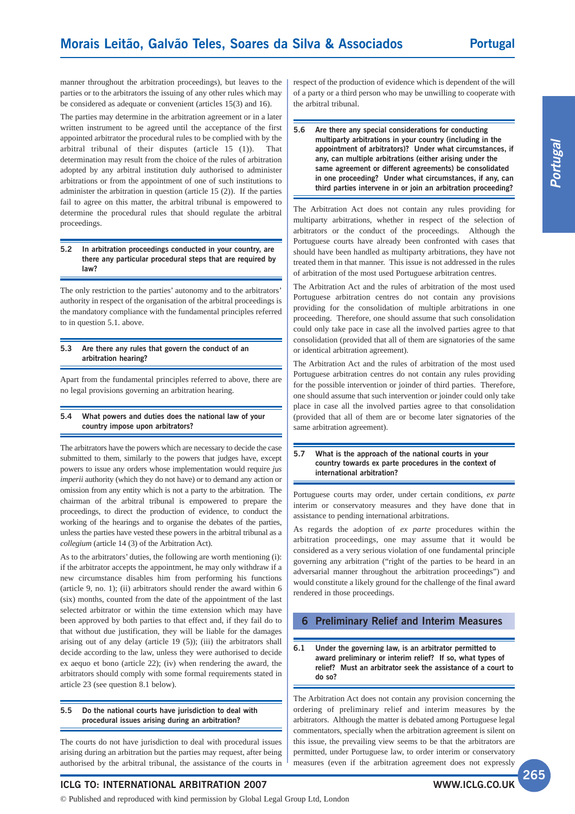manner throughout the arbitration proceedings), but leaves to the parties or to the arbitrators the issuing of any other rules which may be considered as adequate or convenient (articles 15(3) and 16).

The parties may determine in the arbitration agreement or in a later written instrument to be agreed until the acceptance of the first appointed arbitrator the procedural rules to be complied with by the arbitral tribunal of their disputes (article 15 (1)). That determination may result from the choice of the rules of arbitration adopted by any arbitral institution duly authorised to administer arbitrations or from the appointment of one of such institutions to administer the arbitration in question (article 15 (2)). If the parties fail to agree on this matter, the arbitral tribunal is empowered to determine the procedural rules that should regulate the arbitral proceedings.

#### **5.2 In arbitration proceedings conducted in your country, are there any particular procedural steps that are required by law?**

The only restriction to the parties' autonomy and to the arbitrators' authority in respect of the organisation of the arbitral proceedings is the mandatory compliance with the fundamental principles referred to in question 5.1. above.

#### **5.3 Are there any rules that govern the conduct of an arbitration hearing?**

Apart from the fundamental principles referred to above, there are no legal provisions governing an arbitration hearing.

#### **5.4 What powers and duties does the national law of your country impose upon arbitrators?**

The arbitrators have the powers which are necessary to decide the case submitted to them, similarly to the powers that judges have, except powers to issue any orders whose implementation would require *jus imperii* authority (which they do not have) or to demand any action or omission from any entity which is not a party to the arbitration. The chairman of the arbitral tribunal is empowered to prepare the proceedings, to direct the production of evidence, to conduct the working of the hearings and to organise the debates of the parties, unless the parties have vested these powers in the arbitral tribunal as a *collegium* (article 14 (3) of the Arbitration Act).

As to the arbitrators' duties, the following are worth mentioning (i): if the arbitrator accepts the appointment, he may only withdraw if a new circumstance disables him from performing his functions (article 9, no. 1); (ii) arbitrators should render the award within 6 (six) months, counted from the date of the appointment of the last selected arbitrator or within the time extension which may have been approved by both parties to that effect and, if they fail do to that without due justification, they will be liable for the damages arising out of any delay (article 19 (5)); (iii) the arbitrators shall decide according to the law, unless they were authorised to decide ex aequo et bono (article 22); (iv) when rendering the award, the arbitrators should comply with some formal requirements stated in article 23 (see question 8.1 below).

#### **5.5 Do the national courts have jurisdiction to deal with procedural issues arising during an arbitration?**

The courts do not have jurisdiction to deal with procedural issues arising during an arbitration but the parties may request, after being authorised by the arbitral tribunal, the assistance of the courts in

respect of the production of evidence which is dependent of the will of a party or a third person who may be unwilling to cooperate with the arbitral tribunal.

#### **5.6 Are there any special considerations for conducting multiparty arbitrations in your country (including in the appointment of arbitrators)? Under what circumstances, if any, can multiple arbitrations (either arising under the same agreement or different agreements) be consolidated in one proceeding? Under what circumstances, if any, can third parties intervene in or join an arbitration proceeding?**

The Arbitration Act does not contain any rules providing for multiparty arbitrations, whether in respect of the selection of arbitrators or the conduct of the proceedings. Although the Portuguese courts have already been confronted with cases that should have been handled as multiparty arbitrations, they have not treated them in that manner. This issue is not addressed in the rules of arbitration of the most used Portuguese arbitration centres.

The Arbitration Act and the rules of arbitration of the most used Portuguese arbitration centres do not contain any provisions providing for the consolidation of multiple arbitrations in one proceeding. Therefore, one should assume that such consolidation could only take pace in case all the involved parties agree to that consolidation (provided that all of them are signatories of the same or identical arbitration agreement).

The Arbitration Act and the rules of arbitration of the most used Portuguese arbitration centres do not contain any rules providing for the possible intervention or joinder of third parties. Therefore, one should assume that such intervention or joinder could only take place in case all the involved parties agree to that consolidation (provided that all of them are or become later signatories of the same arbitration agreement).

#### **5.7 What is the approach of the national courts in your country towards ex parte procedures in the context of international arbitration?**

Portuguese courts may order, under certain conditions, *ex parte* interim or conservatory measures and they have done that in assistance to pending international arbitrations.

As regards the adoption of *ex parte* procedures within the arbitration proceedings, one may assume that it would be considered as a very serious violation of one fundamental principle governing any arbitration ("right of the parties to be heard in an adversarial manner throughout the arbitration proceedings") and would constitute a likely ground for the challenge of the final award rendered in those proceedings.

## **6 Preliminary Relief and Interim Measures**

**6.1 Under the governing law, is an arbitrator permitted to award preliminary or interim relief? If so, what types of relief? Must an arbitrator seek the assistance of a court to do so?**

The Arbitration Act does not contain any provision concerning the ordering of preliminary relief and interim measures by the arbitrators. Although the matter is debated among Portuguese legal commentators, specially when the arbitration agreement is silent on this issue, the prevailing view seems to be that the arbitrators are permitted, under Portuguese law, to order interim or conservatory measures (even if the arbitration agreement does not expressly

**ICLG TO: INTERNATIONAL ARBITRATION 2007**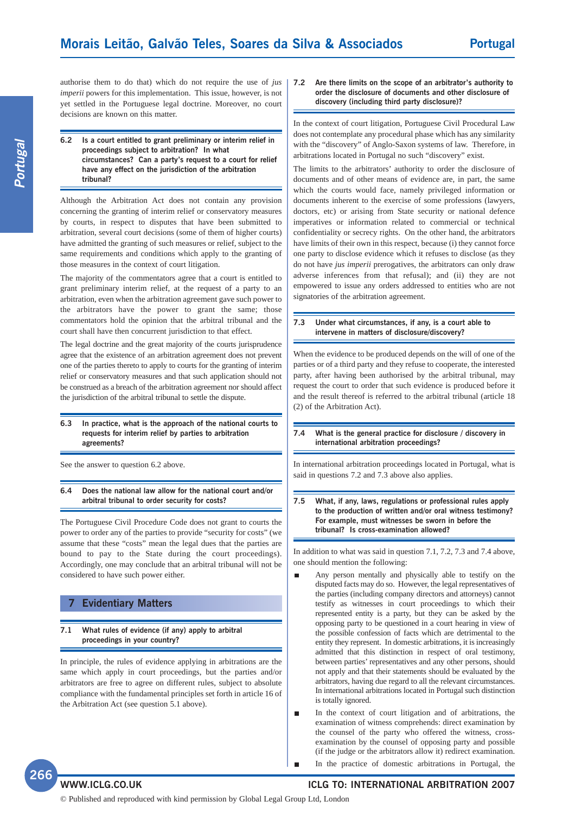authorise them to do that) which do not require the use of *jus imperii* powers for this implementation. This issue, however, is not yet settled in the Portuguese legal doctrine. Moreover, no court decisions are known on this matter.

```
6.2 Is a court entitled to grant preliminary or interim relief in
proceedings subject to arbitration? In what
circumstances? Can a party's request to a court for relief
have any effect on the jurisdiction of the arbitration
tribunal?
```
Although the Arbitration Act does not contain any provision concerning the granting of interim relief or conservatory measures by courts, in respect to disputes that have been submitted to arbitration, several court decisions (some of them of higher courts) have admitted the granting of such measures or relief, subject to the same requirements and conditions which apply to the granting of those measures in the context of court litigation.

The majority of the commentators agree that a court is entitled to grant preliminary interim relief, at the request of a party to an arbitration, even when the arbitration agreement gave such power to the arbitrators have the power to grant the same; those commentators hold the opinion that the arbitral tribunal and the court shall have then concurrent jurisdiction to that effect.

The legal doctrine and the great majority of the courts jurisprudence agree that the existence of an arbitration agreement does not prevent one of the parties thereto to apply to courts for the granting of interim relief or conservatory measures and that such application should not be construed as a breach of the arbitration agreement nor should affect the jurisdiction of the arbitral tribunal to settle the dispute.

#### **6.3 In practice, what is the approach of the national courts to requests for interim relief by parties to arbitration agreements?**

See the answer to question 6.2 above.

#### **6.4 Does the national law allow for the national court and/or arbitral tribunal to order security for costs?**

The Portuguese Civil Procedure Code does not grant to courts the power to order any of the parties to provide "security for costs" (we assume that these "costs" mean the legal dues that the parties are bound to pay to the State during the court proceedings). Accordingly, one may conclude that an arbitral tribunal will not be considered to have such power either.

### **7 Evidentiary Matters**

#### **7.1 What rules of evidence (if any) apply to arbitral proceedings in your country?**

In principle, the rules of evidence applying in arbitrations are the same which apply in court proceedings, but the parties and/or arbitrators are free to agree on different rules, subject to absolute compliance with the fundamental principles set forth in article 16 of the Arbitration Act (see question 5.1 above).

#### **7.2 Are there limits on the scope of an arbitrator's authority to order the disclosure of documents and other disclosure of discovery (including third party disclosure)?**

In the context of court litigation, Portuguese Civil Procedural Law does not contemplate any procedural phase which has any similarity with the "discovery" of Anglo-Saxon systems of law. Therefore, in arbitrations located in Portugal no such "discovery" exist.

The limits to the arbitrators' authority to order the disclosure of documents and of other means of evidence are, in part, the same which the courts would face, namely privileged information or documents inherent to the exercise of some professions (lawyers, doctors, etc) or arising from State security or national defence imperatives or information related to commercial or technical confidentiality or secrecy rights. On the other hand, the arbitrators have limits of their own in this respect, because (i) they cannot force one party to disclose evidence which it refuses to disclose (as they do not have *jus imperii* prerogatives, the arbitrators can only draw adverse inferences from that refusal); and (ii) they are not empowered to issue any orders addressed to entities who are not signatories of the arbitration agreement.

#### **7.3 Under what circumstances, if any, is a court able to intervene in matters of disclosure/discovery?**

When the evidence to be produced depends on the will of one of the parties or of a third party and they refuse to cooperate, the interested party, after having been authorised by the arbitral tribunal, may request the court to order that such evidence is produced before it and the result thereof is referred to the arbitral tribunal (article 18 (2) of the Arbitration Act).

#### **7.4 What is the general practice for disclosure / discovery in international arbitration proceedings?**

In international arbitration proceedings located in Portugal, what is said in questions 7.2 and 7.3 above also applies.

#### **7.5 What, if any, laws, regulations or professional rules apply to the production of written and/or oral witness testimony? For example, must witnesses be sworn in before the tribunal? Is cross-examination allowed?**

In addition to what was said in question 7.1, 7.2, 7.3 and 7.4 above, one should mention the following:

- Any person mentally and physically able to testify on the disputed facts may do so. However, the legal representatives of the parties (including company directors and attorneys) cannot testify as witnesses in court proceedings to which their represented entity is a party, but they can be asked by the opposing party to be questioned in a court hearing in view of the possible confession of facts which are detrimental to the entity they represent. In domestic arbitrations, it is increasingly admitted that this distinction in respect of oral testimony, between parties' representatives and any other persons, should not apply and that their statements should be evaluated by the arbitrators, having due regard to all the relevant circumstances. In international arbitrations located in Portugal such distinction is totally ignored.
- In the context of court litigation and of arbitrations, the  $\blacksquare$ examination of witness comprehends: direct examination by the counsel of the party who offered the witness, crossexamination by the counsel of opposing party and possible (if the judge or the arbitrators allow it) redirect examination.  $\blacksquare$ In the practice of domestic arbitrations in Portugal, the

**Portugal**

# **WWW.ICLG.CO.UK ICLG TO: INTERNATIONAL ARBITRATION 2007**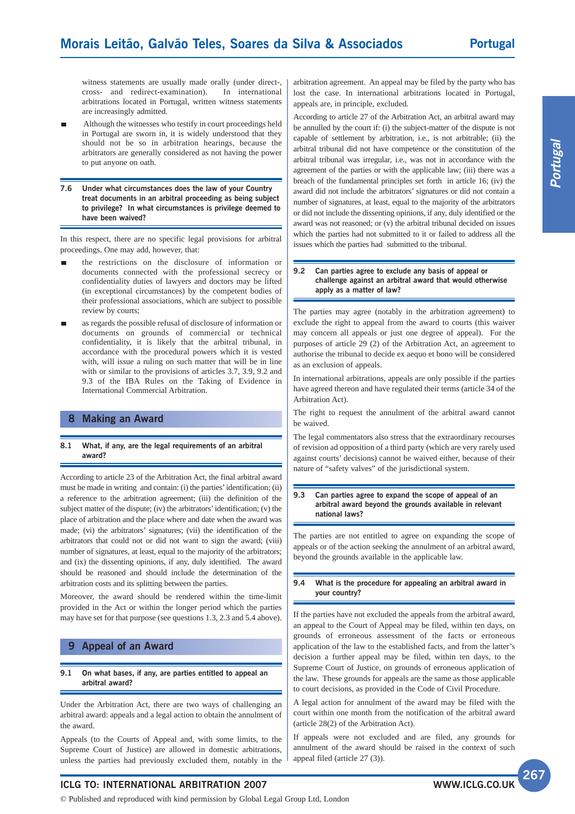witness statements are usually made orally (under direct-, cross- and redirect-examination). In international arbitrations located in Portugal, written witness statements are increasingly admitted.

- Although the witnesses who testify in court proceedings held in Portugal are sworn in, it is widely understood that they should not be so in arbitration hearings, because the arbitrators are generally considered as not having the power to put anyone on oath.
- **7.6 Under what circumstances does the law of your Country treat documents in an arbitral proceeding as being subject to privilege? In what circumstances is privilege deemed to have been waived?**

In this respect, there are no specific legal provisions for arbitral proceedings. One may add, however, that:

- the restrictions on the disclosure of information or documents connected with the professional secrecy or confidentiality duties of lawyers and doctors may be lifted (in exceptional circumstances) by the competent bodies of their professional associations, which are subject to possible review by courts;
- as regards the possible refusal of disclosure of information or documents on grounds of commercial or technical confidentiality, it is likely that the arbitral tribunal, in accordance with the procedural powers which it is vested with, will issue a ruling on such matter that will be in line with or similar to the provisions of articles 3.7, 3.9, 9.2 and 9.3 of the IBA Rules on the Taking of Evidence in International Commercial Arbitration.

#### **8 Making an Award**

#### **8.1 What, if any, are the legal requirements of an arbitral award?**

According to article 23 of the Arbitration Act, the final arbitral award must be made in writing and contain: (i) the parties' identification; (ii) a reference to the arbitration agreement; (iii) the definition of the subject matter of the dispute; (iv) the arbitrators' identification; (v) the place of arbitration and the place where and date when the award was made; (vi) the arbitrators' signatures; (vii) the identification of the arbitrators that could not or did not want to sign the award; (viii) number of signatures, at least, equal to the majority of the arbitrators; and (ix) the dissenting opinions, if any, duly identified. The award should be reasoned and should include the determination of the arbitration costs and its splitting between the parties.

Moreover, the award should be rendered within the time-limit provided in the Act or within the longer period which the parties may have set for that purpose (see questions 1.3, 2.3 and 5.4 above).

### **9 Appeal of an Award**

#### **9.1 On what bases, if any, are parties entitled to appeal an arbitral award?**

Under the Arbitration Act, there are two ways of challenging an arbitral award: appeals and a legal action to obtain the annulment of the award.

Appeals (to the Courts of Appeal and, with some limits, to the Supreme Court of Justice) are allowed in domestic arbitrations, unless the parties had previously excluded them, notably in the

arbitration agreement. An appeal may be filed by the party who has lost the case. In international arbitrations located in Portugal, appeals are, in principle, excluded.

According to article 27 of the Arbitration Act, an arbitral award may be annulled by the court if: (i) the subject-matter of the dispute is not capable of settlement by arbitration, i.e., is not arbitrable; (ii) the arbitral tribunal did not have competence or the constitution of the arbitral tribunal was irregular, i.e., was not in accordance with the agreement of the parties or with the applicable law; (iii) there was a breach of the fundamental principles set forth in article 16; (iv) the award did not include the arbitrators' signatures or did not contain a number of signatures, at least, equal to the majority of the arbitrators or did not include the dissenting opinions, if any, duly identified or the award was not reasoned; or (v) the arbitral tribunal decided on issues which the parties had not submitted to it or failed to address all the issues which the parties had submitted to the tribunal.

#### **9.2 Can parties agree to exclude any basis of appeal or challenge against an arbitral award that would otherwise apply as a matter of law?**

The parties may agree (notably in the arbitration agreement) to exclude the right to appeal from the award to courts (this waiver may concern all appeals or just one degree of appeal). For the purposes of article 29 (2) of the Arbitration Act, an agreement to authorise the tribunal to decide ex aequo et bono will be considered as an exclusion of appeals.

In international arbitrations, appeals are only possible if the parties have agreed thereon and have regulated their terms (article 34 of the Arbitration Act).

The right to request the annulment of the arbitral award cannot be waived.

The legal commentators also stress that the extraordinary recourses of revision ad opposition of a third party (which are very rarely used against courts' decisions) cannot be waived either, because of their nature of "safety valves" of the jurisdictional system.

#### **9.3 Can parties agree to expand the scope of appeal of an arbitral award beyond the grounds available in relevant national laws?**

The parties are not entitled to agree on expanding the scope of appeals or of the action seeking the annulment of an arbitral award, beyond the grounds available in the applicable law.

#### **9.4 What is the procedure for appealing an arbitral award in your country?**

If the parties have not excluded the appeals from the arbitral award, an appeal to the Court of Appeal may be filed, within ten days, on grounds of erroneous assessment of the facts or erroneous application of the law to the established facts, and from the latter's decision a further appeal may be filed, within ten days, to the Supreme Court of Justice, on grounds of erroneous application of the law. These grounds for appeals are the same as those applicable to court decisions, as provided in the Code of Civil Procedure.

A legal action for annulment of the award may be filed with the court within one month from the notification of the arbitral award (article 28(2) of the Arbitration Act).

If appeals were not excluded and are filed, any grounds for annulment of the award should be raised in the context of such appeal filed (article 27 (3)).

## **ICLG TO: INTERNATIONAL ARBITRATION 2007**

© Published and reproduced with kind permission by Global Legal Group Ltd, London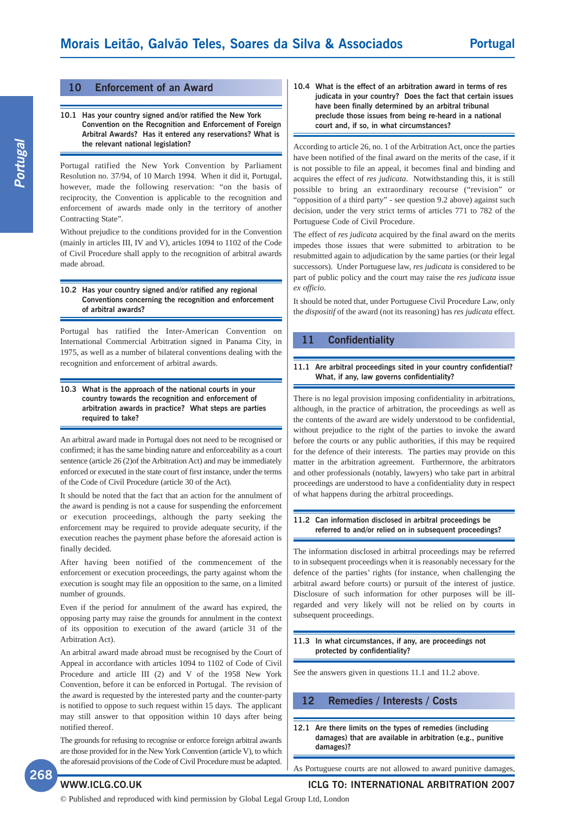#### **10 Enforcement of an Award**

#### **10.1 Has your country signed and/or ratified the New York Convention on the Recognition and Enforcement of Foreign Arbitral Awards? Has it entered any reservations? What is the relevant national legislation?**

Portugal ratified the New York Convention by Parliament Resolution no. 37/94, of 10 March 1994. When it did it, Portugal, however, made the following reservation: "on the basis of reciprocity, the Convention is applicable to the recognition and enforcement of awards made only in the territory of another Contracting State".

Without prejudice to the conditions provided for in the Convention (mainly in articles III, IV and V), articles 1094 to 1102 of the Code of Civil Procedure shall apply to the recognition of arbitral awards made abroad.

#### **10.2 Has your country signed and/or ratified any regional Conventions concerning the recognition and enforcement of arbitral awards?**

Portugal has ratified the Inter-American Convention on International Commercial Arbitration signed in Panama City, in 1975, as well as a number of bilateral conventions dealing with the recognition and enforcement of arbitral awards.

#### **10.3 What is the approach of the national courts in your country towards the recognition and enforcement of arbitration awards in practice? What steps are parties required to take?**

An arbitral award made in Portugal does not need to be recognised or confirmed; it has the same binding nature and enforceability as a court sentence (article 26 (2)of the Arbitration Act) and may be immediately enforced or executed in the state court of first instance, under the terms of the Code of Civil Procedure (article 30 of the Act).

It should be noted that the fact that an action for the annulment of the award is pending is not a cause for suspending the enforcement or execution proceedings, although the party seeking the enforcement may be required to provide adequate security, if the execution reaches the payment phase before the aforesaid action is finally decided.

After having been notified of the commencement of the enforcement or execution proceedings, the party against whom the execution is sought may file an opposition to the same, on a limited number of grounds.

Even if the period for annulment of the award has expired, the opposing party may raise the grounds for annulment in the context of its opposition to execution of the award (article 31 of the Arbitration Act).

An arbitral award made abroad must be recognised by the Court of Appeal in accordance with articles 1094 to 1102 of Code of Civil Procedure and article III (2) and V of the 1958 New York Convention, before it can be enforced in Portugal. The revision of the award is requested by the interested party and the counter-party is notified to oppose to such request within 15 days. The applicant may still answer to that opposition within 10 days after being notified thereof.

The grounds for refusing to recognise or enforce foreign arbitral awards are those provided for in the New York Convention (article V), to which the aforesaid provisions of the Code of Civil Procedure must be adapted. **10.4 What is the effect of an arbitration award in terms of res judicata in your country? Does the fact that certain issues have been finally determined by an arbitral tribunal preclude those issues from being re-heard in a national court and, if so, in what circumstances?**

According to article 26, no. 1 of the Arbitration Act, once the parties have been notified of the final award on the merits of the case, if it is not possible to file an appeal, it becomes final and binding and acquires the effect of *res judicata*. Notwithstanding this, it is still possible to bring an extraordinary recourse ("revision" or "opposition of a third party" - see question 9.2 above) against such decision, under the very strict terms of articles 771 to 782 of the Portuguese Code of Civil Procedure.

The effect of *res judicata* acquired by the final award on the merits impedes those issues that were submitted to arbitration to be resubmitted again to adjudication by the same parties (or their legal successors). Under Portuguese law, *res judicata* is considered to be part of public policy and the court may raise the *res judicata* issue *ex officio*.

It should be noted that, under Portuguese Civil Procedure Law, only the *dispositif* of the award (not its reasoning) has *res judicata* effect.

### **11 Confidentiality**

#### **11.1 Are arbitral proceedings sited in your country confidential? What, if any, law governs confidentiality?**

There is no legal provision imposing confidentiality in arbitrations, although, in the practice of arbitration, the proceedings as well as the contents of the award are widely understood to be confidential, without prejudice to the right of the parties to invoke the award before the courts or any public authorities, if this may be required for the defence of their interests. The parties may provide on this matter in the arbitration agreement. Furthermore, the arbitrators and other professionals (notably, lawyers) who take part in arbitral proceedings are understood to have a confidentiality duty in respect of what happens during the arbitral proceedings.

#### **11.2 Can information disclosed in arbitral proceedings be referred to and/or relied on in subsequent proceedings?**

The information disclosed in arbitral proceedings may be referred to in subsequent proceedings when it is reasonably necessary for the defence of the parties' rights (for instance, when challenging the arbitral award before courts) or pursuit of the interest of justice. Disclosure of such information for other purposes will be illregarded and very likely will not be relied on by courts in subsequent proceedings.

#### **11.3 In what circumstances, if any, are proceedings not protected by confidentiality?**

See the answers given in questions 11.1 and 11.2 above.

### **12 Remedies / Interests / Costs**

**12.1 Are there limits on the types of remedies (including damages) that are available in arbitration (e.g., punitive damages)?**

As Portuguese courts are not allowed to award punitive damages,

**268**

# **WWW.ICLG.CO.UK ICLG TO: INTERNATIONAL ARBITRATION 2007**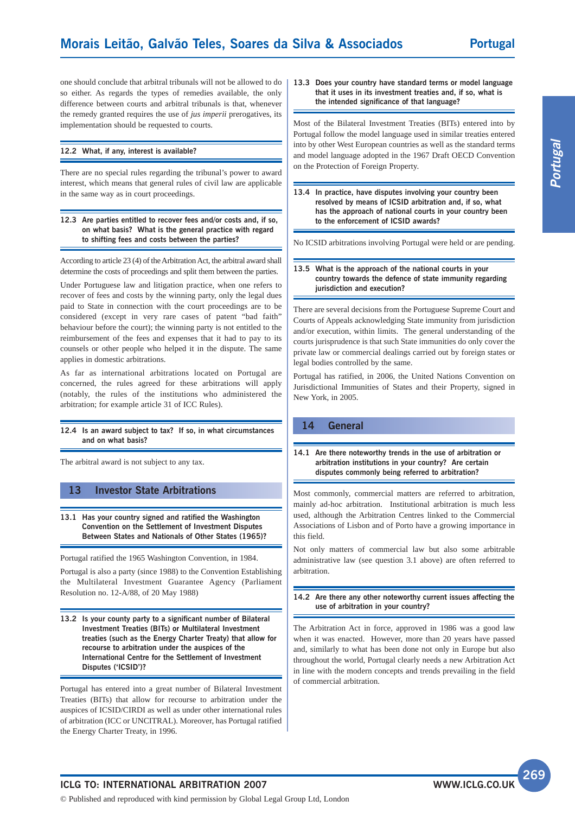one should conclude that arbitral tribunals will not be allowed to do so either. As regards the types of remedies available, the only difference between courts and arbitral tribunals is that, whenever the remedy granted requires the use of *jus imperii* prerogatives, its implementation should be requested to courts.

#### **12.2 What, if any, interest is available?**

There are no special rules regarding the tribunal's power to award interest, which means that general rules of civil law are applicable in the same way as in court proceedings.

#### **12.3 Are parties entitled to recover fees and/or costs and, if so, on what basis? What is the general practice with regard to shifting fees and costs between the parties?**

According to article 23 (4) of the Arbitration Act, the arbitral award shall determine the costs of proceedings and split them between the parties.

Under Portuguese law and litigation practice, when one refers to recover of fees and costs by the winning party, only the legal dues paid to State in connection with the court proceedings are to be considered (except in very rare cases of patent "bad faith" behaviour before the court); the winning party is not entitled to the reimbursement of the fees and expenses that it had to pay to its counsels or other people who helped it in the dispute. The same applies in domestic arbitrations.

As far as international arbitrations located on Portugal are concerned, the rules agreed for these arbitrations will apply (notably, the rules of the institutions who administered the arbitration; for example article 31 of ICC Rules).

#### **12.4 Is an award subject to tax? If so, in what circumstances and on what basis?**

The arbitral award is not subject to any tax.

### **13 Investor State Arbitrations**

#### **13.1 Has your country signed and ratified the Washington Convention on the Settlement of Investment Disputes Between States and Nationals of Other States (1965)?**

Portugal ratified the 1965 Washington Convention, in 1984.

Portugal is also a party (since 1988) to the Convention Establishing the Multilateral Investment Guarantee Agency (Parliament Resolution no. 12-A/88, of 20 May 1988)

**13.2 Is your county party to a significant number of Bilateral Investment Treaties (BITs) or Multilateral Investment treaties (such as the Energy Charter Treaty) that allow for recourse to arbitration under the auspices of the International Centre for the Settlement of Investment Disputes ('ICSID')?**

Portugal has entered into a great number of Bilateral Investment Treaties (BITs) that allow for recourse to arbitration under the auspices of ICSID/CIRDI as well as under other international rules of arbitration (ICC or UNCITRAL). Moreover, has Portugal ratified the Energy Charter Treaty, in 1996.

#### **13.3 Does your country have standard terms or model language that it uses in its investment treaties and, if so, what is the intended significance of that language?**

Most of the Bilateral Investment Treaties (BITs) entered into by Portugal follow the model language used in similar treaties entered into by other West European countries as well as the standard terms and model language adopted in the 1967 Draft OECD Convention on the Protection of Foreign Property.

**13.4 In practice, have disputes involving your country been resolved by means of ICSID arbitration and, if so, what has the approach of national courts in your country been to the enforcement of ICSID awards?**

No ICSID arbitrations involving Portugal were held or are pending.

#### **13.5 What is the approach of the national courts in your country towards the defence of state immunity regarding jurisdiction and execution?**

There are several decisions from the Portuguese Supreme Court and Courts of Appeals acknowledging State immunity from jurisdiction and/or execution, within limits. The general understanding of the courts jurisprudence is that such State immunities do only cover the private law or commercial dealings carried out by foreign states or legal bodies controlled by the same.

Portugal has ratified, in 2006, the United Nations Convention on Jurisdictional Immunities of States and their Property, signed in New York, in 2005.

#### **14 General**

#### **14.1 Are there noteworthy trends in the use of arbitration or arbitration institutions in your country? Are certain disputes commonly being referred to arbitration?**

Most commonly, commercial matters are referred to arbitration, mainly ad-hoc arbitration. Institutional arbitration is much less used, although the Arbitration Centres linked to the Commercial Associations of Lisbon and of Porto have a growing importance in this field.

Not only matters of commercial law but also some arbitrable administrative law (see question 3.1 above) are often referred to arbitration.

#### **14.2 Are there any other noteworthy current issues affecting the use of arbitration in your country?**

The Arbitration Act in force, approved in 1986 was a good law when it was enacted. However, more than 20 years have passed and, similarly to what has been done not only in Europe but also throughout the world, Portugal clearly needs a new Arbitration Act in line with the modern concepts and trends prevailing in the field of commercial arbitration.

#### **ICLG TO: INTERNATIONAL ARBITRATION 2007**